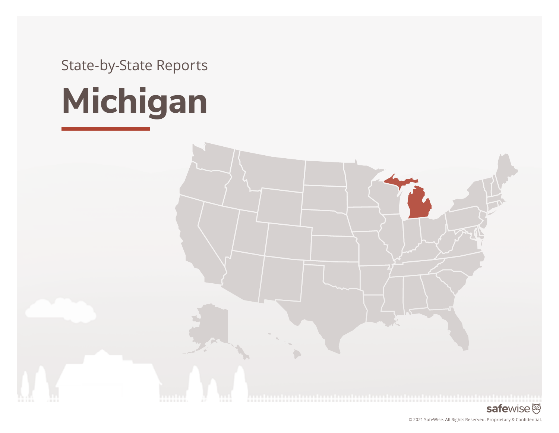State-by-State Reports



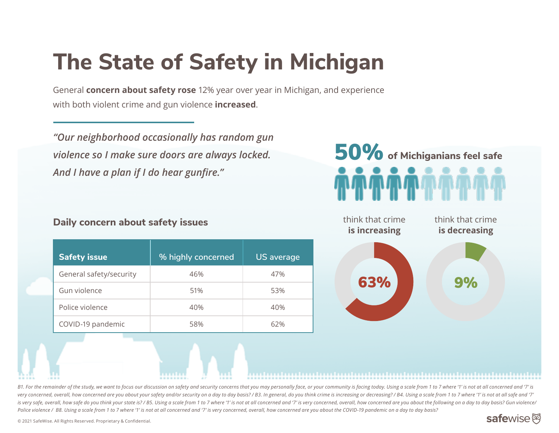# **The State of Safety in Michigan**

General **concern about safety rose** 12% year over year in Michigan, and experience with both violent crime and gun violence **increased**.

*"Our neighborhood occasionally has random gun violence so I make sure doors are always locked. And I have a plan if I do hear gunfire."*

### **Daily concern about safety issues**

|  | <b>Safety issue</b>     | % highly concerned | <b>US</b> average |
|--|-------------------------|--------------------|-------------------|
|  | General safety/security | 46%                | 47%               |
|  | Gun violence            | 51%                | 53%               |
|  | Police violence         | 40%                | 40%               |
|  | COVID-19 pandemic       | 58%                | 62%               |





B1. For the remainder of the study, we want to focus our discussion on safety and security concerns that you may personally face, or your community is facing today. Using a scale from 1 to 7 where '1' is not at all concern very concerned, overall, how concerned are you about your safety and/or security on a day to day basis? / B3. In general, do you think crime is increasing or decreasing? / B4. Using a scale from 1 to 7 where '1' is not at is very safe, overall, how safe do you think your state is? / B5. Using a scale from 1 to 7 where '1' is not at all concerned and '7' is very concerned, overall, how concerned are you about the following on a day to day ba *Police violence / B8. Using a scale from 1 to 7 where '1' is not at all concerned and '7' is very concerned, overall, how concerned are you about the COVID-19 pandemic on a day to day basis?* 

### safewise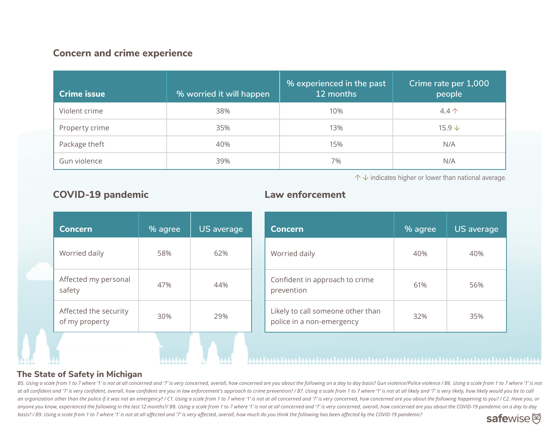#### **Concern and crime experience**

| <b>Crime issue</b> | % worried it will happen | % experienced in the past<br>12 months | Crime rate per 1,000<br>people |
|--------------------|--------------------------|----------------------------------------|--------------------------------|
| Violent crime      | 38%                      | 10%                                    | $4.4 \uparrow$                 |
| Property crime     | 35%                      | 13%                                    | $15.9 \text{ }\downarrow$      |
| Package theft      | 40%                      | 15%                                    | N/A                            |
| Gun violence       | 39%                      | 7%                                     | N/A                            |

↑ **↓** indicates higher or lower than national average.

| <b>Concern</b>                          | % agree | US average |
|-----------------------------------------|---------|------------|
| Worried daily                           | 58%     | 62%        |
| Affected my personal<br>safety          | 47%     | 44%        |
| Affected the security<br>of my property | 30%     | 29%        |
|                                         |         |            |

#### **COVID-19 pandemic Law enforcement**

| <b>Concern</b>                                                 | % agree | <b>US</b> average |
|----------------------------------------------------------------|---------|-------------------|
| Worried daily                                                  | 40%     | 40%               |
| Confident in approach to crime<br>prevention                   | 61%     | 56%               |
| Likely to call someone other than<br>police in a non-emergency | 32%     | 35%               |

#### **The State of Safety in Michigan**

B5. Using a scale from 1 to 7 where '1' is not at all concerned and '7' is very concerned, overall, how concerned are you about the following on a day to day basis? Gun violence/Police violence/ B6. Using a scale from 1 to at all confident and '7' is very confident, overall, how confident are you in law enforcement's approach to crime prevention? / B7. Using a scale from 1 to 7 where '1' is not at all likely and '7' is very likely, how likel an organization other than the police if it was not an emergency? / C1. Using a scale from 1 to 7 where '1' is not at all concerned and '7' is very concerned, how concerned are you about the following happening to you? / C anyone you know, experienced the following in the last 12 months?/ B8. Using a scale from 1 to 7 where '1' is not at all concerned and '7' is very concerned, overall, how concerned are you about the COVID-19 pandemic on a *basis? / B9. Using a scale from 1 to 7 where '1' is not at all affected and '7' is very affected, overall, how much do you think the following has been affected by the COVID-19 pandemic?*  safewise<sup>函</sup>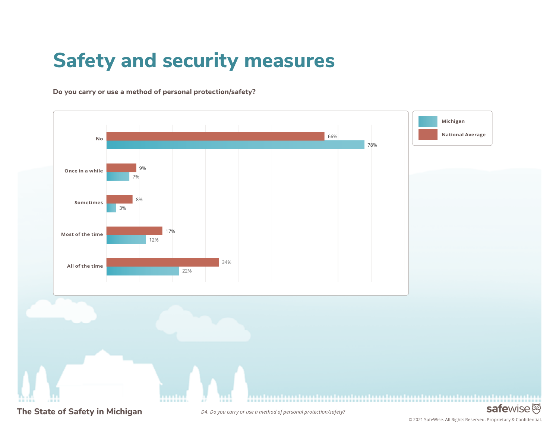## **Safety and security measures**

**Do you carry or use a method of personal protection/safety?** 



© 2021 SafeWise. All Rights Reserved. Proprietary & Confidential.